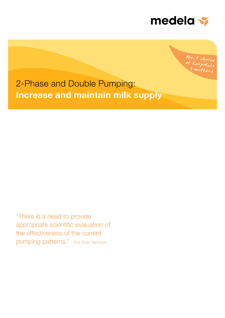

No. 1 choice <sup>of</sup> hospitals  $mother_s$ 

2-Phase and Double Pumping: Increase and maintain milk supply

"There is a need to provide appropriate scientific evaluation of the effectiveness of the current pumping patterns." Prof. Peter Hartmann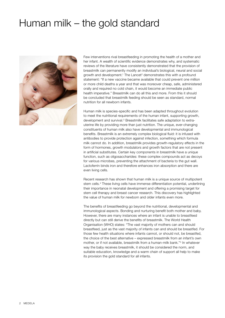# Human milk – the gold standard



Few interventions rival breastfeeding in promoting the health of a mother and her infant. A wealth of scientific evidence demonstrates why, and systematic reviews of the literature have consistently demonstrated that the provision of breastmilk can permanently modify an individual's biological, neural and social growth and development.<sup>1</sup> The Lancet<sup>2</sup> demonstrates this with a profound statement: "If a new vaccine became available that could prevent one million or more child deaths a year and that was moreover cheap, safe, administered orally and required no cold chain, it would become an immediate public health imperative." Breastmilk can do all this and more. From this it should be concluded that breastmilk feeding should be seen as standard, normal nutrition for all newborn infants.

Human milk is species-specific and has been adapted throughout evolution to meet the nutritional requirements of the human infant, supporting growth, development and survival.<sup>3</sup> Breastmilk facilitates safe adaptation to extrauterine life by providing more than just nutrition. The unique, ever-changing constituents of human milk also have developmental and immunological benefits. Breastmilk is an extremely complex biological fluid: it is infused with antibodies to provide protection against infection, something which formula milk cannot do. In addition, breastmilk provides growth-regulatory effects in the form of hormones, growth modulators and growth factors that are not present in artificial substitutes. Certain key components in breastmilk have a unique function, such as oligosaccharides: these complex compounds act as decoys for various microbes, preventing the attachment of bacteria to the gut wall. Lactoferrin binds iron and therefore enhances iron absorption and there are even living cells.

Recent research has shown that human milk is a unique source of multipotent stem cells.<sup>4</sup> These living cells have immense differentiation potential, underlining their importance in neonatal development and offering a promising target for stem cell therapy and breast cancer research. This discovery has highlighted the value of human milk for newborn and older infants even more.

The benefits of breastfeeding go beyond the nutritional, developmental and immunological aspects. Bonding and nurturing benefit both mother and baby. However, there are many instances where an infant is unable to breastfeed directly but can still derive the benefits of breastmilk. The World Health Organisation (WHO) states: "The vast majority of mothers can and should breastfeed, just as the vast majority of infants can and should be breastfed. For those few health situations where infants cannot, or should not, be breastfed, the choice of the best alternative – expressed breastmilk from an infant's own mother, or if not available, breastmilk from a human-milk bank."<sup>5</sup> In whatever way the baby receives breastmilk, it should be considered the norm, and suitable education, knowledge and a warm chain of support all help to make its provision the gold standard for all infants.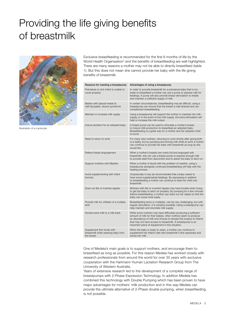# Providing the life giving benefits of breastmilk



Illustration of a Lactocyte

Exclusive breastfeeding is recommended for the first 6 months of life by the World Health Organisation<sup>5</sup> and the benefits of breastfeeding are well highlighted. There are many reasons a mother may not be able to directly breastfeed (table 1). But this does not mean she cannot provide her baby with the life giving benefits of breastmilk.

| Reasons for needing a breastpump                                                | Advantages of using a breastpump                                                                                                                                                                                                                                                                                         |  |  |
|---------------------------------------------------------------------------------|--------------------------------------------------------------------------------------------------------------------------------------------------------------------------------------------------------------------------------------------------------------------------------------------------------------------------|--|--|
| Premature or sick infant is unable to<br>nurse properly                         | In order to provide breastmilk for a premature baby that is too<br>weak to breastfeed a mother can use a pump to express milk for<br>feedings. A pump will also provide breast stimulation to initiate<br>and maintain a sufficient supply of milk.                                                                      |  |  |
| Babies with special needs ie.<br>cleft lip/palate, downs syndrome               | In certain circumstances, breastfeeding may be difficult, using a<br>breastpump can ensure that the breast is well drained and can<br>complement breastfeeding.                                                                                                                                                          |  |  |
| Maintain or increase milk supply                                                | Using a breastpump will support the mother to maintain her milk<br>supply or in the event of low milk supply, the extra stimulation will<br>help to increase the milk output.                                                                                                                                            |  |  |
| Induce lactation for an adopted baby                                            | A breast pump can be used to stimulate a mother's breast<br>to induce milk production to breastfeed an adopted baby.<br>Breastfeeding is a great way for a mother and her adopted child<br>to bond.                                                                                                                      |  |  |
| Need to return to work                                                          | For many new mothers, returning to work shortly after giving birth<br>is a reality, but by pumping and storing milk while at work a mother<br>can continue to provide her baby with breastmilk as long as she<br>would like.                                                                                             |  |  |
| Relieve breast engorgement                                                      | When a mother's breasts are overly full and engorged with<br>breastmilk, she can use a breast pump to express enough milk<br>to provide relief from discomfort and to assist the baby to latch on.                                                                                                                       |  |  |
| Support mothers with Mastitis                                                   | When a mother is faced with the problem of mastitis, using a<br>breastpump alongside continued breastfeeding will help with the<br>healing process.                                                                                                                                                                      |  |  |
| Avoid supplementing with infant<br>formula                                      | Ocassionally it may be recommended that a baby needs to<br>have some supplemental feedings. By expressing in addition<br>to breastfeeding a mother can continue to feed her child only<br>breastmilk.                                                                                                                    |  |  |
| Draw out flat or inverted nipples                                               | Mothers with flat or inverted nipples may have trouble when trying<br>to get the baby to latch on properly. By pumping for a few minutes<br>before breastfeeding, a mother can draw out her nipple so that the<br>baby can nurse more easily.                                                                            |  |  |
| Provide milk for children of a multiple<br>birth                                | Breastfeeding twins or multiples, can be very challenging, but with<br>regular stimulation, it is certainly possible. Using a breastpump can<br>help maintain and stiumlate milk supply.                                                                                                                                 |  |  |
| Donate extra milk to a milk bank                                                | While some mothers may have difficulties producing a sufficient<br>amount of milk for their babies, other mothers seem to produce<br>an abundance of milk and choose to donate this surplus to infants<br>that may not have access to breastmilk. A breastpump is an<br>important piece of equipement in this situation. |  |  |
| Supplement first foods with<br>breastmilk while weaning baby from<br>the breast | When the baby is ready to wean, a mother can continue to<br>supplement her infant's diet with breastmilk if she expresses and<br>stores her milk.                                                                                                                                                                        |  |  |

One of Medela's main goals is to support mothers, and encourage them to breastfeed as long as possible. For this reason Medela has worked closely with research professionals from around the world for over 30 years with exclusive cooperation with the Hartmann Human Lactation Research Group from The University of Western Australia.

Years of extensive research led to the development of a complete range of breastpumps with 2-Phase Expression Technology. In addition Medela has combined this technology with Double Pumping which has been proven to have major advantages for mothers' milk production and in this way Medela can provide the ultimate alternative of 2-Phase double pumping, when breastfeeding is not possible.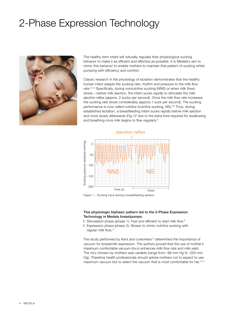# 2-Phase Expression Technology



The healthy term infant will naturally regulate their physiological sucking behavior to make it as efficient and effective as possible. It is Medela's aim to mimic this behavior to enable mothers to maintain that pattern of sucking whilst pumping with efficiency and comfort.

Classic research in the physiology of lactation demonstrates that the healthy human infant adapts the sucking rate, rhythm and pressure to the milk flow rate.<sup>6,7,8</sup> Specifically, during nonnutritive sucking (NNS) or when milk flows slowly – before milk ejection, the infant sucks rapidly to stimulate the milkejection reflex (approx. 2 sucks per second). Once the milk flow rate increases, the sucking rate slows considerably (approx.1 suck per second). The sucking performance is now called nutritive (nutritive sucking, NS).<sup>8,9</sup> Thus, during established lactation, a breastfeeding infant sucks rapidly before milk ejection and more slowly afterwards (Fig.1) $9$  due to the extra time required for swallowing and breathing once milk begins to flow regularly.6



Figure 1 – Sucking trace during a breastfeeding session.

### This physiologic biphasic pattern led to the 2-Phase Expression Technology in Medela breastpumps:

- l Stimulation phase (phase 1): Fast and efficient to start milk flow.8
- l Expression phase (phase 2): Slower to mimic nutritive sucking with regular milk flow.<sup>11</sup>

The study performed by Kent and coworkers<sup>10</sup> determined the importance of vacuum for breastmilk expression. The authors proved that the use of mother's maximum comfortable vacuum (mcv) enhances milk flow rate and milk yield. The mcv chosen by mothers was variable (range from -98 mm Hg to -200 mm Hg). Therefore health professionals should advise mothers not to expect to use maximum vacuum but to select the vacuum that is most comfortable for her.<sup>10,11</sup>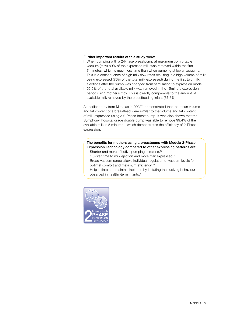#### Further important results of this study were:

- l When pumping with a 2-Phase breastpump at maximum comfortable vacuum (mcv) 80% of the expressed milk was removed within the first 7 minutes, which is much less time than when pumping at lower vacuums. This is a consequence of high milk flow rates resulting in a high volume of milk being expressed (76% of the total milk expressed) during the first two milk ejections after the pump was changed from stimulation to expression mode.
- l 65.5% of the total available milk was removed in the 15minute expression period using mother's mcv. This is directly comparable to the amount of available milk removed by the breastfeeding infant (67.3%).

An earlier study from Mitoulas in 2002<sup>11</sup> demonstrated that the mean volume and fat content of a breastfeed were similar to the volume and fat content of milk expressed using a 2-Phase breastpump. It was also shown that the Symphony, hospital grade double pump was able to remove 99.4% of the available milk in 5 minutes – which demonstrates the efficiency of 2-Phase expression.

### The benefits for mothers using a breastpump with Medela 2-Phase Expression Technology compared to other expressing patterns are:

- l Shorter and more effective pumping sessions.10
- l Quicker time to milk ejection and more milk expressed.8,11
- l Broad vacuum range allows individual regulation of vacuum levels for optimal comfort and maximum efficiency.<sup>10</sup>
- l Help initiate and maintain lactation by imitating the sucking behaviour observed in healthy-term infants.8

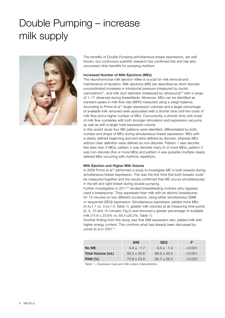# Double Pumping – increase milk supply



The benefits of Double Pumping (simultaneous breast expression), are well known, but continuous scientific research has confirmed this and has also uncovered other benefits for pumping mothers.

#### Increased Number of Milk Ejections (MEs)

The neurohormonal milk ejection reflex is crucial for milk removal and maintenance of lactation. Milk ejections (ME) are described as short discrete uncoordinated increases in intraductal pressure (measured by ductal cannulation)<sup>12</sup>, and milk duct diameter (measured by ultrasound)<sup>13</sup> with a range of 1–17 observed during breastfeeds. Moreover, MEs can be identified as transient peaks in milk flow rate (MFR) measured using a weigh balance. According to Prime et al<sup>12</sup> larger expression volumes and a larger percentage of available milk removed were associated with a shorter time until the onset of milk flow and a higher number of MEs. Concurrently, a shorter time until onset of milk flow correlates with both stronger stimulation and expression vacuums as well as with a larger total expression volume.

In this recent study four ME patterns were identified, differentiated by both, number and shape of MEs during simultaneous breast expression. MEs with a clearly defined beginning and end were defined as discrete, whereas MEs without clear definition were defined as non-discrete. Pattern 1 was discrete few (less than 5 MEs), pattern 2 was discrete many (5 or more MEs), pattern 3 was non-discrete (five or more MEs) and pattern 4 was pulsatile (multiple clearly defined MEs occurring with rhythmic repetition).

### Milk Ejection and Higher Milk Volume

In 2009 Prime et al<sup>15</sup> performed a study to investigate ME in both breasts during simultaneous breast expression. This was the first time that both breasts could be measured together and the results confirmed that ME occurs simultaneously in the left and right breast during double pumping.

Further investigation in 2011<sup>16</sup> studied breastfeeding mothers who regularly used a breastpump. They expressed their milk with an electric breastpump for 15 minutes on two different occasions, using either simultaneous (SIM) or sequential (SEQ) expression. Simultaneous expression yielded more MEs  $(4.4\pm1.7 \text{ vs. } 3.4\pm1.4; \text{ Table 1}),$  greater milk volumes at all measuring time points (2, 5, 10 and 15 minutes; Fig.2) and removed a greater percentage of available milk (74.8 ± 23.6% vs. 65.7±26.2%; Table 1).

Another finding from this study was that SIM expression also yielded milk with higher energy content. This confirms what had already been discussed by Jones et al in 2001<sup>17</sup>.

|                   | <b>SIM</b>      | <b>SEQ</b>      | Р       |
|-------------------|-----------------|-----------------|---------|
| No ME             | $4.4 \pm 1.7$   | $3.4 \pm 1.4$   | < 0.001 |
| Total Volume (mL) | $82.3 \pm 50.6$ | $69.5 \pm 53.2$ | < 0.001 |
| <b>PAM</b> (%)    | $74.8 \pm 23.6$ | $65.7 \pm 26.2$ | < 0.022 |

Table 1 – Expression type and milk output characteristics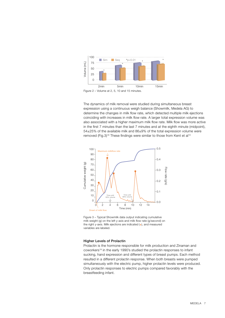

The dynamics of milk removal were studied during simultaneous breast expression using a continuous weigh balance (Showmilk, Medela AG) to determine the changes in milk flow rate, which detected multiple milk ejections coinciding with increases in milk flow rate. A larger total expression volume was also associated with a higher maximum milk flow rate. Milk flow was more active in the first 7 minutes than the last 7 minutes and at the eighth minute (midpoint), 54±25% of the available milk and 86±9% of the total expression volume were removed (Fig.3)<sup>18</sup> These findings were similar to those from Kent et al<sup>10</sup>



Figure 3 – Typical Showmilk data output indicating cumulative milk weight (g) on the left y-axis and milk flow rate (g/second) on the right y-axis. Milk ejections are indicated (•), and measured variables are labeled.

#### Higher Levels of Prolactin

Prolactin is the hormone responsible for milk production and Zinaman and coworkers<sup>19</sup> in the early 1990's studied the prolactin responses to infant sucking, hand expression and different types of breast pumps. Each method resulted in a different prolactin response. When both breasts were pumped simultaneously with the electric pump, higher prolactin levels were produced. Only prolactin responses to electric pumps compared favorably with the breastfeeding infant.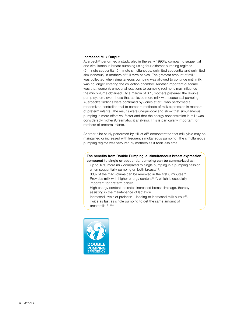#### Increased Milk Output

Auerbach<sup>20</sup> performed a study, also in the early 1990's, comparing sequential and simultaneous breast pumping using four different pumping regimes (5-minute sequential, 5-minute simultaneous, unlimited sequential and unlimited simultaneous) in mothers of full term babies. The greatest amount of milk was collected when simultaneous pumping was allowed to continue until milk was no longer entering the collection chamber. Another important outcome was that women's emotional reactions to pumping regimens may influence the milk volume obtained. By a margin of 3:1, mothers preferred the double pump system, even those that achieved more milk with sequential pumping. Auerbach's findings were confirmed by Jones et al<sup>17</sup>, who performed a randomized controlled trial to compare methods of milk expression in mothers of preterm infants. The results were unequivocal and show that simultaneous pumping is more effective, faster and that the energy concentration in milk was considerably higher (Creamatocrit analysis). This is particularly important for mothers of preterm infants.

Another pilot study performed by Hill et  $a^{21}$  demonstrated that milk yield may be maintained or increased with frequent simultaneous pumping. The simultaneous pumping regime was favoured by mothers as it took less time.

### The benefits from Double Pumping ie. simultaneous breast expression compared to single or sequential pumping can be summarized as:

- l Up to 18% more milk compared to single pumping in a pumping session when sequentially pumping on both breasts<sup>16</sup>.
- 1 80% of the milk volume can be removed in the first 6 minutes<sup>16</sup>.
- I Provides milk with higher energy content<sup>16,17</sup>, which is especially important for preterm babies.
- l High energy content indicates increased breast drainage, thereby assisting in the maintenance of lactation.
- l Increased levels of prolactin leading to increased milk output19.
- l Twice as fast as single pumping to get the same amount of breastmilk15,19,20.

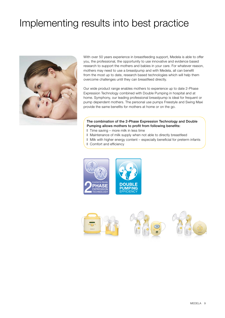# Implementing results into best practice



With over 50 years experience in breastfeeding support, Medela is able to offer you, the professional, the opportunity to use innovative and evidence based research to support the mothers and babies in your care. For whatever reason, mothers may need to use a breastpump and with Medela, all can benefit from the most up to date, research based technologies which will help them overcome challenges until they can breastfeed directly.

Our wide product range enables mothers to experience up to date 2-Phase Expression Technology combined with Double Pumping in hospital and at home. Symphony, our leading professional breastpump is ideal for frequent or pump dependent mothers. The personal use pumps Freestyle and Swing Maxi provide the same benefits for mothers at home or on the go.

## The combination of the 2-Phase Expression Technology and Double Pumping allows mothers to profit from following benefits:

- l Time saving more milk in less time
- l Maintenance of milk supply when not able to directly breastfeed
- l Milk with higher energy content especially beneficial for preterm infants
- l Comfort and efficiency



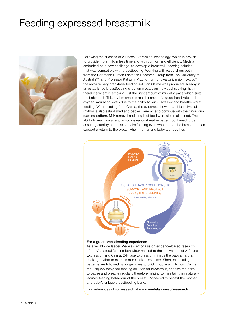# Feeding expressed breastmilk



Following the success of 2-Phase Expression Technology, which is proven to provide more milk in less time and with comfort and efficiency, Medela embarked on a new challenge, to develop a breastmillk feeding solution that was compatible with breastfeeding. Working with researchers both from the Hartmann Human Lactation Research Group from The University of Australia<sup>22</sup>, and Professor Katsumi Mizuno from Showa University, Tokoyo<sup>23</sup>, the revolutionary breastmilk feeding solution Calma was produced. A baby in an established breastfeeding situation creates an individual sucking rhythm, thereby efficiently removing just the right amount of milk at a pace which suits the baby best. This rhythm enables maintenance of a good heart rate and oxygen saturation levels due to the ability to suck, swallow and breathe whilst feeding. When feeding from Calma, the evidence shows that this individual rhythm is also established and babies were able to continue with their individual sucking pattern. Milk removal and length of feed were also maintained. The ability to maintain a regular suck-swallow-breathe pattern continued, thus ensuring stability and relaxed calm feeding even when not at the breast and can support a return to the breast when mother and baby are together.



### For a great breastfeeding experience

As a worldwide leader Medela's emphasis on evidence-based research of baby's natural feeding behaviour has led to the innovations of 2-Phase Expression and Calma. 2-Phase Expression mimics the baby's natural sucking rhythm to express more milk in less time. Short, stimulating patterns are followed by longer ones, providing optimal milk flow. Calma, the uniquely designed feeding solution for breastmilk, enables the baby to pause and breathe regularly therefore helping to maintain their naturally learned feeding behaviour at the breast. Pioneered to benefit the mother and baby's unique breastfeeding bond.

Find references of our research at www.medela.com/bf-research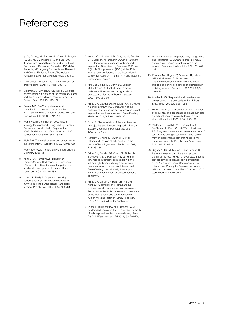# References

- 1 Ip, S., Chung, M., Raman, G., Chew, P., Magula, N., DeVine, D., Trikalinos, T., and Lau, 2007 J.Breastfeeding and Maternal and Infant Health Outcomes in Developed Countries. 153. 4-20. Rockville, MD, Agency for Healthcare Research and Quality. Evidence Report/Technology Assessment. Ref Type: Report. www.ahrq.gov
- 2. The Lancet Editorial 1994. A warm chain for breastfeeding. Lancet; 344(5):1239-40
- 3. Goldman AS, Chheda S, Garofalo R. Evolution of immunologic functions of the mammary gland and the post natal development of immunity. Pediatr. Res; 1988 43: 155-162
- 4. Cregan MD, Fan Y, Appelbee A, et al. Identification of nestin-positive putative mammary stem cells in human breastmilk. Cell Tissue Res; 2007 329(1): 129-136
- 5. World Health Organization. 2003 Global strategy for infant and young feeding. Geneva, Switzerland: World Health Organization 2003. Available at http://whqlibdoc.who.int/ publications/2003/9241562218.pdf
- 6. Wolff P:H: The serial organisation of sucking in the young infant. Paediatrics 1968. 42:943-956
- 7. Woolridge. M.W. The anatomy of infant sucking. Midwifery 1986. (2)
- 8. Kent, J. C., Ramsey D.T., Doherty, D., Larsson,M., and Hartmann, P:E: Response of breasts to different stimulation patterns of an electric breastpump. Journal of Human Lactation (2003) 19: 179-186
- 9. Mizuno K, Ueda A. Changes in sucking performance from nonnutritive sucking to nutritive sucking during breast – and bottlefeeding. Pediatr Res 2006; 59(5): 728-731
- 10. Kent, J.C., Mitoulas, L.R., Cregan, M., Geddes, D.T., Larsson, M., Doherty, D.A.and Hartmann P. E., Importance of vacuum for breastmilk expression. Breastfeeding Medicine 2008; Vol 3 (1):11- First presented (2004) at the 12th International conference of the International society for research in human milk and lactation. Cambridge, England
- 11. Mitoulas LR, Lai CT, Gurrin LC, Larsson M, Hartmann P. Effect of vacuum profile on breastmilk expression using an electric breastpump. Journal of Human Lactation 2002,18/4, 353-60
- 12. Prime DK, Geddes DT, Hepworth AR, Trengove NJ and Hartmann PE. Comparison of the patterns of milk ejection during repeated breast expression sessions in women. Breastfeeding Medicine 2011; Vol. 6(4): 183-190
- 13. Cobo E. Characteristics of the spontaneous milk ejecting activity occurring during human lactation. Journal of Perinatal Medicine 1993; 21: 77-85
- 14. Ramsay DT, Kent JC, Owens RA, et al. Ultrasound imaging of milk ejection in the breast of lactating women. Pediatrics 2004; 113: 361-367
- 15. Prime DK, Geddes DT, Spatz DL, Robert M, Trengove NJ and Hatmann PE. Using milk flow rate to investigate milk ejection in the left and right breasts during simultaneous breast expression in women. International Breastfeeding Journal 2009, 4:10 http:// www.internationalbreastfeedingjournal.com/ content/4/1/10
- 16. Prime DK, Garbin CP, Hartmann PE and Kent JC. A comparison of simultaneous and sequential breast expression in women. Presented at the 15th International conference of the International society for research in human milk and lactation. Lima, Peru: Oct. 8-11, 2010 (submitted for publication)
- 17. Jones E, Dimmock PW and Spencer SA. A randomised controlled trial to compare methods of milk expression after preterm delivery. Arch Dis Child Fetal Neonatal Ed 2001; 85: F91-F95
- 18. Prime DK, Kent JC, Hepworth AR, Trengove NJ and Hartmann PE. Dynamics of milk removal during simultaneous breast expression in women. Breastfeeding Medicine 2011; Vol 0(0); 1-6
- 19. Zinaman MJ, Hughes V, Queenan JT, Labbok MH and Albertson B. Acute prolactin and Oxytocin responses and milk yield to infant suckling and artificial methods of expression in lactating women. Pediatrics 1992; Vol. 89(3): 437-440
- 20. Auerbach KG. Sequential and simultaneous breast pumping: a comparison. Int. J. Nurs Stud. 1990; Vol. 27(3): 257-265
- 21. Hill PD, Aldag JC and Chatterton RT. The effect of sequential and simultaneous breast pumping on milk volume and prolactin levels: a pilot study. J Hum Lact 1996; 12(3): 193-199
- 22. Geddes DT, Sakalidis VS, Hepworth AR, McClellan HL, Kent JC, Lai CT and Hartmann PE. Tongue movement and intra-oral vacuum of term infants during breastfeeding and feeding from an experimental teat that released milk under vacuum only. Early human Development 2012; 88; 443-449
- 23. Segami Y, Taki M, Mizuno K. and Itabashi K. Perioral movement and intraoral vacuums during bottle feeding with a novel, experimental teat are similar to breastfeeding. Presented at the 15th International Conference of the International Society for Research in Human Milk and Lactation. Lima, Peru: Oct. 8-11 2010 (submitted for publication)